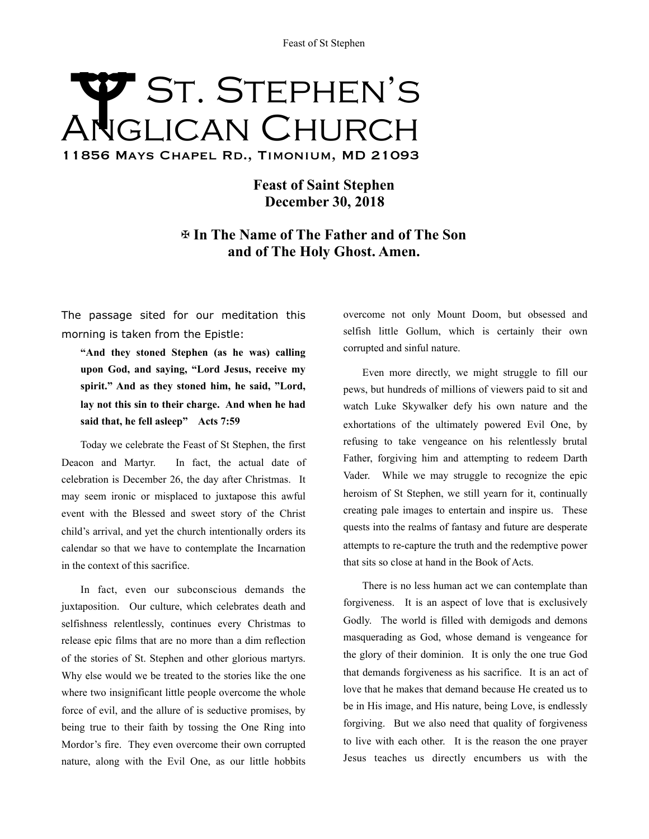## Feast of St Stephen<br>
ST. STEPHEN'S Anglican Church 11856 Mays Chapel Rd., Timonium, MD 21093

**Feast of Saint Stephen December 30, 2018** 

✠ **In The Name of The Father and of The Son and of The Holy Ghost. Amen.** 

The passage sited for our meditation this morning is taken from the Epistle:

**"And they stoned Stephen (as he was) calling upon God, and saying, "Lord Jesus, receive my spirit." And as they stoned him, he said, "Lord, lay not this sin to their charge. And when he had said that, he fell asleep" Acts 7:59** 

Today we celebrate the Feast of St Stephen, the first Deacon and Martyr. In fact, the actual date of celebration is December 26, the day after Christmas. It may seem ironic or misplaced to juxtapose this awful event with the Blessed and sweet story of the Christ child's arrival, and yet the church intentionally orders its calendar so that we have to contemplate the Incarnation in the context of this sacrifice.

In fact, even our subconscious demands the juxtaposition. Our culture, which celebrates death and selfishness relentlessly, continues every Christmas to release epic films that are no more than a dim reflection of the stories of St. Stephen and other glorious martyrs. Why else would we be treated to the stories like the one where two insignificant little people overcome the whole force of evil, and the allure of is seductive promises, by being true to their faith by tossing the One Ring into Mordor's fire. They even overcome their own corrupted nature, along with the Evil One, as our little hobbits

overcome not only Mount Doom, but obsessed and selfish little Gollum, which is certainly their own corrupted and sinful nature.

Even more directly, we might struggle to fill our pews, but hundreds of millions of viewers paid to sit and watch Luke Skywalker defy his own nature and the exhortations of the ultimately powered Evil One, by refusing to take vengeance on his relentlessly brutal Father, forgiving him and attempting to redeem Darth Vader. While we may struggle to recognize the epic heroism of St Stephen, we still yearn for it, continually creating pale images to entertain and inspire us. These quests into the realms of fantasy and future are desperate attempts to re-capture the truth and the redemptive power that sits so close at hand in the Book of Acts.

There is no less human act we can contemplate than forgiveness. It is an aspect of love that is exclusively Godly. The world is filled with demigods and demons masquerading as God, whose demand is vengeance for the glory of their dominion. It is only the one true God that demands forgiveness as his sacrifice. It is an act of love that he makes that demand because He created us to be in His image, and His nature, being Love, is endlessly forgiving. But we also need that quality of forgiveness to live with each other. It is the reason the one prayer Jesus teaches us directly encumbers us with the